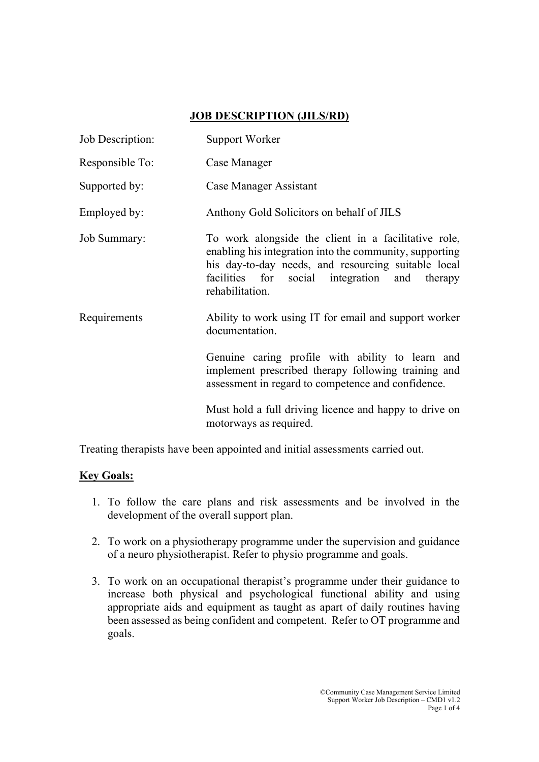## JOB DESCRIPTION (JILS/RD)

| Job Description:    | Support Worker                                                                                                                                                                                                                             |
|---------------------|--------------------------------------------------------------------------------------------------------------------------------------------------------------------------------------------------------------------------------------------|
| Responsible To:     | Case Manager                                                                                                                                                                                                                               |
| Supported by:       | Case Manager Assistant                                                                                                                                                                                                                     |
| Employed by:        | Anthony Gold Solicitors on behalf of JILS                                                                                                                                                                                                  |
| <b>Job Summary:</b> | To work alongside the client in a facilitative role,<br>enabling his integration into the community, supporting<br>his day-to-day needs, and resourcing suitable local<br>facilities for social integration and therapy<br>rehabilitation. |
| Requirements        | Ability to work using IT for email and support worker<br>documentation.                                                                                                                                                                    |
|                     | Genuine caring profile with ability to learn and<br>implement prescribed therapy following training and<br>assessment in regard to competence and confidence.                                                                              |
|                     | Must hold a full driving licence and happy to drive on<br>motorways as required.                                                                                                                                                           |

Treating therapists have been appointed and initial assessments carried out.

## Key Goals:

- 1. To follow the care plans and risk assessments and be involved in the development of the overall support plan.
- 2. To work on a physiotherapy programme under the supervision and guidance of a neuro physiotherapist. Refer to physio programme and goals.
- 3. To work on an occupational therapist's programme under their guidance to increase both physical and psychological functional ability and using appropriate aids and equipment as taught as apart of daily routines having been assessed as being confident and competent. Refer to OT programme and goals.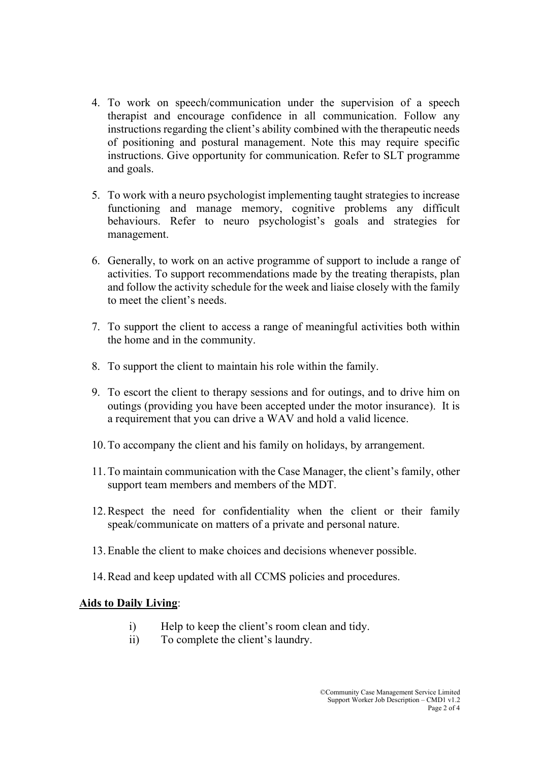- 4. To work on speech/communication under the supervision of a speech therapist and encourage confidence in all communication. Follow any instructions regarding the client's ability combined with the therapeutic needs of positioning and postural management. Note this may require specific instructions. Give opportunity for communication. Refer to SLT programme and goals.
- 5. To work with a neuro psychologist implementing taught strategies to increase functioning and manage memory, cognitive problems any difficult behaviours. Refer to neuro psychologist's goals and strategies for management.
- 6. Generally, to work on an active programme of support to include a range of activities. To support recommendations made by the treating therapists, plan and follow the activity schedule for the week and liaise closely with the family to meet the client's needs.
- 7. To support the client to access a range of meaningful activities both within the home and in the community.
- 8. To support the client to maintain his role within the family.
- 9. To escort the client to therapy sessions and for outings, and to drive him on outings (providing you have been accepted under the motor insurance). It is a requirement that you can drive a WAV and hold a valid licence.
- 10.To accompany the client and his family on holidays, by arrangement.
- 11.To maintain communication with the Case Manager, the client's family, other support team members and members of the MDT.
- 12.Respect the need for confidentiality when the client or their family speak/communicate on matters of a private and personal nature.
- 13.Enable the client to make choices and decisions whenever possible.
- 14.Read and keep updated with all CCMS policies and procedures.

## Aids to Daily Living: Ξ

- i) Help to keep the client's room clean and tidy.
- ii) To complete the client's laundry.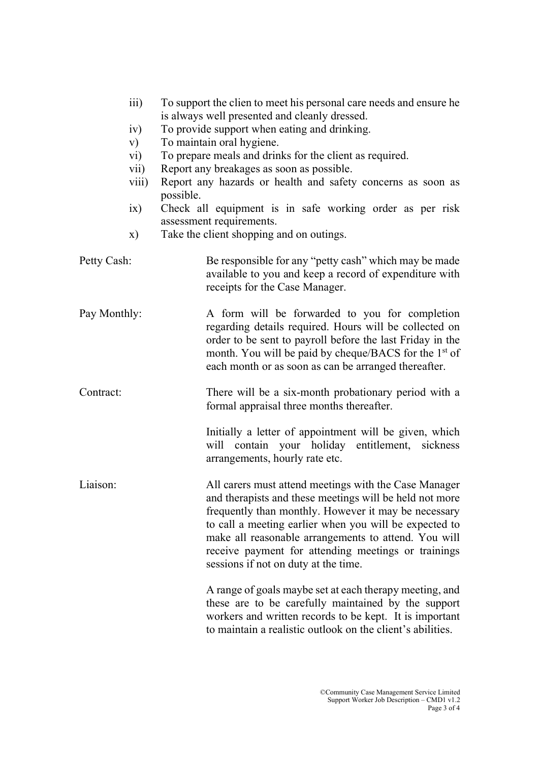|              | iii)<br>iv)<br>V)<br>$\rm vi)$<br>$\overline{\text{vii}}$<br>viii)<br>ix)<br>X) | To support the clien to meet his personal care needs and ensure he<br>is always well presented and cleanly dressed.<br>To provide support when eating and drinking.<br>To maintain oral hygiene.<br>To prepare meals and drinks for the client as required.<br>Report any breakages as soon as possible.<br>Report any hazards or health and safety concerns as soon as<br>possible.<br>Check all equipment is in safe working order as per risk<br>assessment requirements.<br>Take the client shopping and on outings. |
|--------------|---------------------------------------------------------------------------------|--------------------------------------------------------------------------------------------------------------------------------------------------------------------------------------------------------------------------------------------------------------------------------------------------------------------------------------------------------------------------------------------------------------------------------------------------------------------------------------------------------------------------|
| Petty Cash:  |                                                                                 | Be responsible for any "petty cash" which may be made<br>available to you and keep a record of expenditure with<br>receipts for the Case Manager.                                                                                                                                                                                                                                                                                                                                                                        |
| Pay Monthly: |                                                                                 | A form will be forwarded to you for completion<br>regarding details required. Hours will be collected on<br>order to be sent to payroll before the last Friday in the<br>month. You will be paid by cheque/BACS for the 1 <sup>st</sup> of<br>each month or as soon as can be arranged thereafter.                                                                                                                                                                                                                       |
| Contract:    |                                                                                 | There will be a six-month probationary period with a<br>formal appraisal three months thereafter.                                                                                                                                                                                                                                                                                                                                                                                                                        |
|              |                                                                                 | Initially a letter of appointment will be given, which<br>will contain your holiday entitlement, sickness<br>arrangements, hourly rate etc.                                                                                                                                                                                                                                                                                                                                                                              |
| Liaison:     |                                                                                 | All carers must attend meetings with the Case Manager<br>and therapists and these meetings will be held not more<br>frequently than monthly. However it may be necessary<br>to call a meeting earlier when you will be expected to<br>make all reasonable arrangements to attend. You will<br>receive payment for attending meetings or trainings<br>sessions if not on duty at the time.                                                                                                                                |
|              |                                                                                 | A range of goals maybe set at each therapy meeting, and<br>these are to be carefully maintained by the support<br>workers and written records to be kept. It is important<br>to maintain a realistic outlook on the client's abilities.                                                                                                                                                                                                                                                                                  |